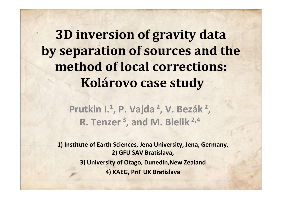**3D inversion of gravity data by separation of sources and the method of local corrections:Kolárovo case study**

> **Prutkin I.1, P. Vajda2, V. Bezák2 R. Tenzer3, and M. Bielik 2,4 ,**

**1) Institute of Earth Sciences, Jena University, Jena, Germany, 2) GFU SAV Bratislava,3) University of Otago, Dunedin,New Zealand4) KAEG, PriF UK Bratislava**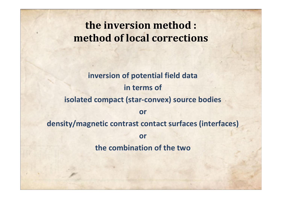#### **the inversion method :method of local corrections**

#### **inversion of potential field datain terms ofisolated compact (star-convex) source bodiesor density/magnetic contrast contact surfaces (interfaces)orthe combination of the two**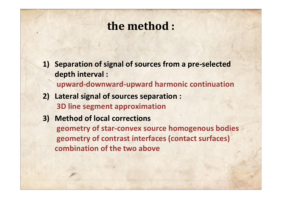## **the method :**

- **1) Separation of signal of sources from a pre-selected depth interval :upward-downward-upward harmonic continuation**
- **2) Lateral signal of sources separation : 3D line segment approximation**
- **3) Method of local corrections geometry of star-convex source homogenous bodiesgeometry of contrast interfaces (contact surfaces)combination of the two above**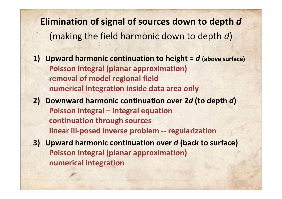**Elimination of signal of sources down to depth** *d*(making the field harmonic down to depth *d*)

- **1) Upward harmonic continuation to height =** *d* **(above surface) Poisson integral (planar approximation)removal of model regional fieldnumerical integration inside data area only**
- **2) Downward harmonic continuation over 2***d* **(to depth**  *d***)Poisson integral – integral equationcontinuation through sources linear ill-posed inverse problem -- regularization**
- **3) Upward harmonic continuation over** *d* **(back to surface) Poisson integral (planar approximation) numerical integration**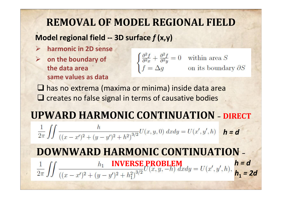### **REMOVAL OF MODEL REGIONAL FIELD**

#### **Model regional field -- 3D surface** *f* **(x,y)**

- **harmonic in 2D sense**
- **on the boundary of the data area same values as data**

$$
\begin{cases} \frac{\partial^2 f}{\partial^2 x} + \frac{\partial^2 f}{\partial^2 y} = 0 & \text{within area } S \\ f = \Delta g & \text{on its boundary} \end{cases}
$$

 $\partial S$ 

□ has no extrema (maxima or minima) inside data area Q creates no false signal in terms of causative bodies

#### **UPWARD HARMONIC CONTINUATION –DIRECT**

 $H(x, y, 0)$ *h = d*

# **DOWNWARD HARMONIC CONTINUATION –**

 **INVERSE PROBLEM***h = d* $h_1 =$ *= 2d*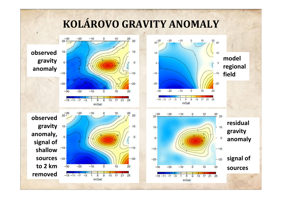### **KOLÁROVO GRAVITY ANOMALY**

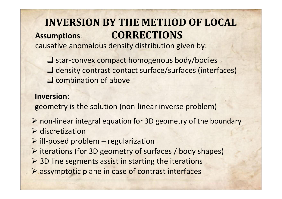#### **INVERSION BY THE METHOD OF LOCAL CORRECTIONSAssumptions**:

causative anomalous density distribution given by:

■ star-convex compact homogenous body/bodies □ density contrast contact surface/surfaces (interfaces) **Q** combination of above

#### **Inversion**:

geometry is the solution (non-linear inverse problem)

- $\triangleright$  non-linear integral equation for 3D geometry of the boundary  $\triangleright$  discretization
- $\triangleright$  ill-posed problem regularization
- $\triangleright$  iterations (for 3D geometry of surfaces / body shapes)
- > 3D line segments assist in starting the iterations
- assymptotic plane in case of contrast interfaces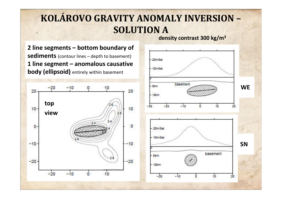### **KOLÁROVO GRAVITY ANOMALY INVERSION –SOLUTION A**

**density contrast 300 kg/m3**

**2 line segments – bottom boundary of sediments** (contour lines – depth to basement) **1 line segment – anomalous causative body (ellipsoid)** entirely within basement



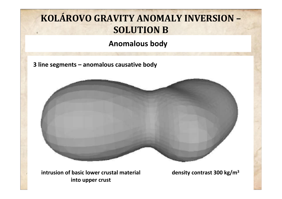### **KOLÁROVO GRAVITY ANOMALY INVERSION –SOLUTION B**

#### **Anomalous body**

**3 line segments – anomalous causative body**



 **intrusion of basic lower crustal materialinto upper crust**

**density contrast 300 kg/m3**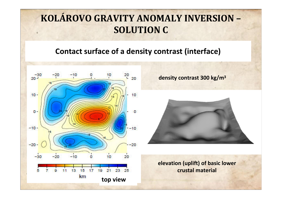#### **KOLÁROVO GRAVITY ANOMALY INVERSION –SOLUTION C**

#### **Contact surface of a density contrast (interface)**



**density contrast 300 kg/m3**



**elevation (uplift) of basic lower crustal material**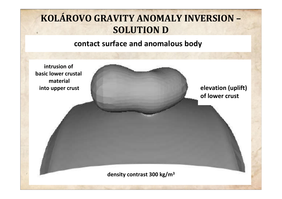### **KOLÁROVO GRAVITY ANOMALY INVERSION –SOLUTION D**

#### **contact surface and anomalous body**

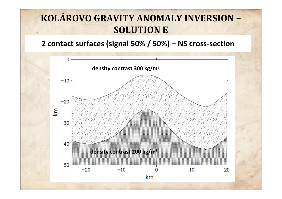#### **KOLÁROVO GRAVITY ANOMALY INVERSION –SOLUTION E**

#### **2 contact surfaces (signal 50% / 50%) – NS cross-section**

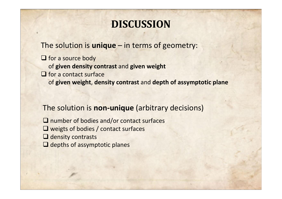#### **DISCUSSION**

The solution is **unique** – in terms of geometry:

□ for a source body of **given density contrast** and **given weightO** for a contact surface of **given weight**, **density contrast** and **depth of assymptotic plane**

#### The solution is **non-unique** (arbitrary decisions)

□ number of bodies and/or contact surfaces **■** weigts of bodies / contact surfaces **Q** density contrasts<br>Q denths of assume  $\Box$  depths of assymptotic planes